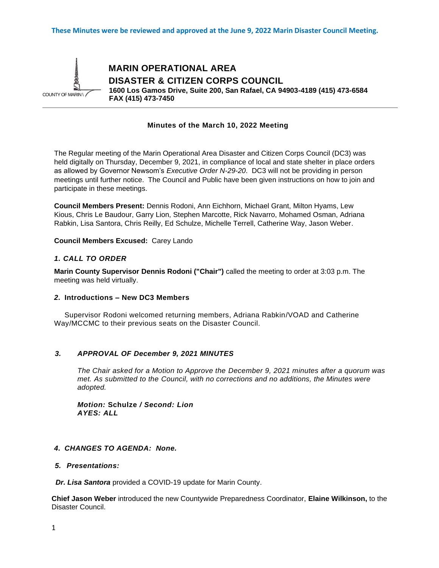

 **MARIN OPERATIONAL AREA DISASTER & CITIZEN CORPS COUNCIL 1600 Los Gamos Drive, Suite 200, San Rafael, CA 94903-4189 (415) 473-6584 FAX (415) 473-7450**

### **Minutes of the March 10, 2022 Meeting**

The Regular meeting of the Marin Operational Area Disaster and Citizen Corps Council (DC3) was held digitally on Thursday, December 9, 2021, in compliance of local and state shelter in place orders as allowed by Governor Newsom's *Executive Order N-29-20*. DC3 will not be providing in person meetings until further notice. The Council and Public have been given instructions on how to join and participate in these meetings.

**Council Members Present:** Dennis Rodoni, Ann Eichhorn, Michael Grant, Milton Hyams, Lew Kious, Chris Le Baudour, Garry Lion, Stephen Marcotte, Rick Navarro, Mohamed Osman, Adriana Rabkin, Lisa Santora, Chris Reilly, Ed Schulze, Michelle Terrell, Catherine Way, Jason Weber.

**Council Members Excused:** Carey Lando

### *1. CALL TO ORDER*

**Marin County Supervisor Dennis Rodoni ("Chair")** called the meeting to order at 3:03 p.m. The meeting was held virtually.

#### *2.* **Introductions – New DC3 Members**

Supervisor Rodoni welcomed returning members, Adriana Rabkin/VOAD and Catherine Way/MCCMC to their previous seats on the Disaster Council.

#### *3. APPROVAL OF December 9, 2021 MINUTES*

*The Chair asked for a Motion to Approve the December 9, 2021 minutes after a quorum was met. As submitted to the Council, with no corrections and no additions, the Minutes were adopted.*

*Motion:* **Schulze** */ Second: Lion AYES: ALL*

#### *4. CHANGES TO AGENDA: None.*

#### *5. Presentations:*

 *Dr. Lisa Santora* provided a COVID-19 update for Marin County.

**Chief Jason Weber** introduced the new Countywide Preparedness Coordinator, **Elaine Wilkinson,** to the Disaster Council.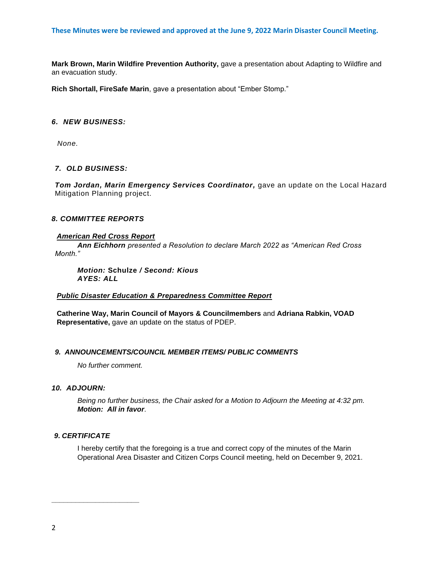**Mark Brown, Marin Wildfire Prevention Authority,** gave a presentation about Adapting to Wildfire and an evacuation study.

**Rich Shortall, FireSafe Marin**, gave a presentation about "Ember Stomp."

## *6. NEW BUSINESS:*

*None.*

## *7. OLD BUSINESS:*

Tom Jordan, Marin Emergency Services Coordinator, gave an update on the Local Hazard Mitigation Planning project.

# *8. COMMITTEE REPORTS*

## *American Red Cross Report*

*Ann Eichhorn presented a Resolution to declare March 2022 as "American Red Cross Month."* 

*Motion:* **Schulze** */ Second: Kious AYES: ALL*

## *Public Disaster Education & Preparedness Committee Report*

**Catherine Way, Marin Council of Mayors & Councilmembers** and **Adriana Rabkin, VOAD Representative,** gave an update on the status of PDEP.

### *9. ANNOUNCEMENTS/COUNCIL MEMBER ITEMS/ PUBLIC COMMENTS*

*No further comment.*

### *10. ADJOURN:*

*Being no further business, the Chair asked for a Motion to Adjourn the Meeting at 4:32 pm. Motion: All in favor*.

# *9. CERTIFICATE*

**\_\_\_\_\_\_\_\_\_\_\_\_\_\_\_\_\_\_\_\_\_\_**

I hereby certify that the foregoing is a true and correct copy of the minutes of the Marin Operational Area Disaster and Citizen Corps Council meeting, held on December 9, 2021.